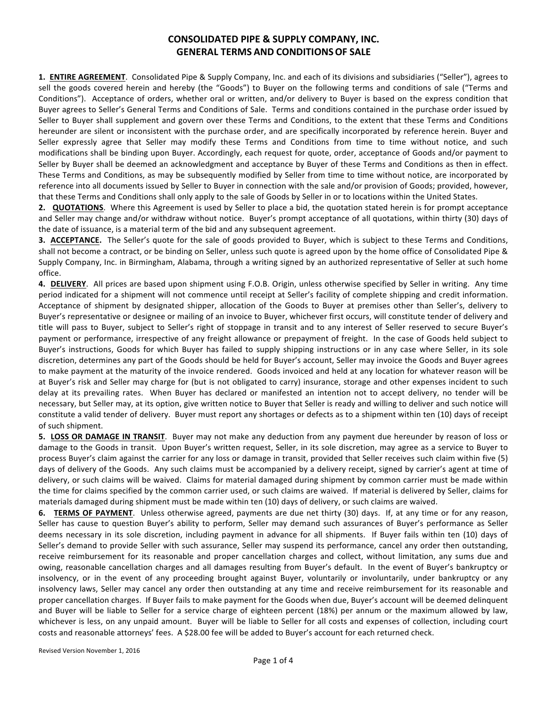**1. ENTIRE AGREEMENT**. Consolidated Pipe & Supply Company, Inc. and each of its divisions and subsidiaries ("Seller"), agrees to sell the goods covered herein and hereby (the "Goods") to Buyer on the following terms and conditions of sale ("Terms and Conditions"). Acceptance of orders, whether oral or written, and/or delivery to Buyer is based on the express condition that Buyer agrees to Seller's General Terms and Conditions of Sale. Terms and conditions contained in the purchase order issued by Seller to Buyer shall supplement and govern over these Terms and Conditions, to the extent that these Terms and Conditions hereunder are silent or inconsistent with the purchase order, and are specifically incorporated by reference herein. Buyer and Seller expressly agree that Seller may modify these Terms and Conditions from time to time without notice, and such modifications shall be binding upon Buyer. Accordingly, each request for quote, order, acceptance of Goods and/or payment to Seller by Buyer shall be deemed an acknowledgment and acceptance by Buyer of these Terms and Conditions as then in effect. These Terms and Conditions, as may be subsequently modified by Seller from time to time without notice, are incorporated by reference into all documents issued by Seller to Buyer in connection with the sale and/or provision of Goods; provided, however, that these Terms and Conditions shall only apply to the sale of Goods by Seller in or to locations within the United States.

**2. QUOTATIONS**. Where this Agreement is used by Seller to place a bid, the quotation stated herein is for prompt acceptance and Seller may change and/or withdraw without notice. Buyer's prompt acceptance of all quotations, within thirty (30) days of the date of issuance, is a material term of the bid and any subsequent agreement.

**3. ACCEPTANCE.** The Seller's quote for the sale of goods provided to Buyer, which is subject to these Terms and Conditions, shall not become a contract, or be binding on Seller, unless such quote is agreed upon by the home office of Consolidated Pipe & Supply Company, Inc. in Birmingham, Alabama, through a writing signed by an authorized representative of Seller at such home office.

4. DELIVERY. All prices are based upon shipment using F.O.B. Origin, unless otherwise specified by Seller in writing. Any time period indicated for a shipment will not commence until receipt at Seller's facility of complete shipping and credit information. Acceptance of shipment by designated shipper, allocation of the Goods to Buyer at premises other than Seller's, delivery to Buyer's representative or designee or mailing of an invoice to Buyer, whichever first occurs, will constitute tender of delivery and title will pass to Buyer, subject to Seller's right of stoppage in transit and to any interest of Seller reserved to secure Buyer's payment or performance, irrespective of any freight allowance or prepayment of freight. In the case of Goods held subject to Buyer's instructions, Goods for which Buyer has failed to supply shipping instructions or in any case where Seller, in its sole discretion, determines any part of the Goods should be held for Buyer's account, Seller may invoice the Goods and Buyer agrees to make payment at the maturity of the invoice rendered. Goods invoiced and held at any location for whatever reason will be at Buyer's risk and Seller may charge for (but is not obligated to carry) insurance, storage and other expenses incident to such delay at its prevailing rates. When Buyer has declared or manifested an intention not to accept delivery, no tender will be necessary, but Seller may, at its option, give written notice to Buyer that Seller is ready and willing to deliver and such notice will constitute a valid tender of delivery. Buyer must report any shortages or defects as to a shipment within ten (10) days of receipt of such shipment.

**5. LOSS OR DAMAGE IN TRANSIT**. Buyer may not make any deduction from any payment due hereunder by reason of loss or damage to the Goods in transit. Upon Buyer's written request, Seller, in its sole discretion, may agree as a service to Buyer to process Buyer's claim against the carrier for any loss or damage in transit, provided that Seller receives such claim within five (5) days of delivery of the Goods. Any such claims must be accompanied by a delivery receipt, signed by carrier's agent at time of delivery, or such claims will be waived. Claims for material damaged during shipment by common carrier must be made within the time for claims specified by the common carrier used, or such claims are waived. If material is delivered by Seller, claims for materials damaged during shipment must be made within ten (10) days of delivery, or such claims are waived.

**6. TERMS OF PAYMENT**. Unless otherwise agreed, payments are due net thirty (30) days. If, at any time or for any reason, Seller has cause to question Buyer's ability to perform, Seller may demand such assurances of Buyer's performance as Seller deems necessary in its sole discretion, including payment in advance for all shipments. If Buyer fails within ten (10) days of Seller's demand to provide Seller with such assurance, Seller may suspend its performance, cancel any order then outstanding, receive reimbursement for its reasonable and proper cancellation charges and collect, without limitation, any sums due and owing, reasonable cancellation charges and all damages resulting from Buyer's default. In the event of Buyer's bankruptcy or insolvency, or in the event of any proceeding brought against Buyer, voluntarily or involuntarily, under bankruptcy or any insolvency laws, Seller may cancel any order then outstanding at any time and receive reimbursement for its reasonable and proper cancellation charges. If Buyer fails to make payment for the Goods when due, Buyer's account will be deemed delinquent and Buyer will be liable to Seller for a service charge of eighteen percent (18%) per annum or the maximum allowed by law, whichever is less, on any unpaid amount. Buyer will be liable to Seller for all costs and expenses of collection, including court costs and reasonable attorneys' fees. A \$28.00 fee will be added to Buyer's account for each returned check.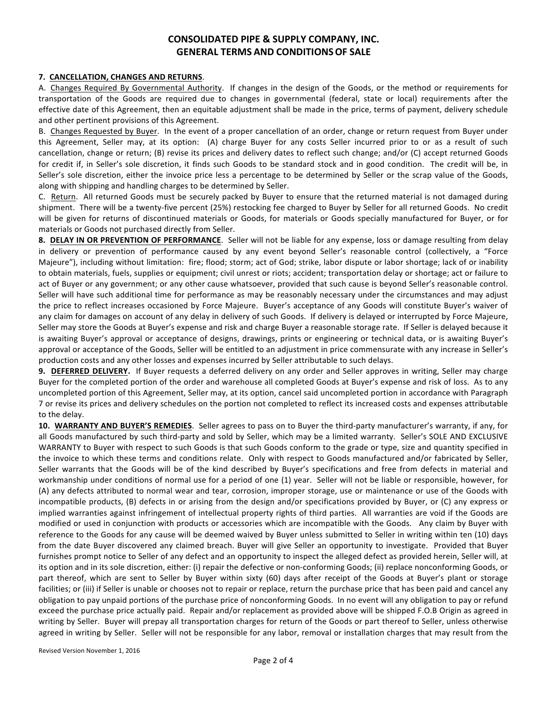#### **7. CANCELLATION, CHANGES AND RETURNS.**

A. Changes Required By Governmental Authority. If changes in the design of the Goods, or the method or requirements for transportation of the Goods are required due to changes in governmental (federal, state or local) requirements after the effective date of this Agreement, then an equitable adjustment shall be made in the price, terms of payment, delivery schedule and other pertinent provisions of this Agreement.

B. Changes Requested by Buyer. In the event of a proper cancellation of an order, change or return request from Buyer under this Agreement, Seller may, at its option: (A) charge Buyer for any costs Seller incurred prior to or as a result of such cancellation, change or return; (B) revise its prices and delivery dates to reflect such change; and/or (C) accept returned Goods for credit if, in Seller's sole discretion, it finds such Goods to be standard stock and in good condition. The credit will be, in Seller's sole discretion, either the invoice price less a percentage to be determined by Seller or the scrap value of the Goods, along with shipping and handling charges to be determined by Seller.

C. Return. All returned Goods must be securely packed by Buyer to ensure that the returned material is not damaged during shipment. There will be a twenty-five percent (25%) restocking fee charged to Buyer by Seller for all returned Goods. No credit will be given for returns of discontinued materials or Goods, for materials or Goods specially manufactured for Buyer, or for materials or Goods not purchased directly from Seller.

8. DELAY IN OR PREVENTION OF PERFORMANCE. Seller will not be liable for any expense, loss or damage resulting from delay in delivery or prevention of performance caused by any event beyond Seller's reasonable control (collectively, a "Force Majeure"), including without limitation: fire; flood; storm; act of God; strike, labor dispute or labor shortage; lack of or inability to obtain materials, fuels, supplies or equipment; civil unrest or riots; accident; transportation delay or shortage; act or failure to act of Buyer or any government; or any other cause whatsoever, provided that such cause is beyond Seller's reasonable control. Seller will have such additional time for performance as may be reasonably necessary under the circumstances and may adjust the price to reflect increases occasioned by Force Majeure. Buyer's acceptance of any Goods will constitute Buyer's waiver of any claim for damages on account of any delay in delivery of such Goods. If delivery is delayed or interrupted by Force Majeure, Seller may store the Goods at Buyer's expense and risk and charge Buyer a reasonable storage rate. If Seller is delayed because it is awaiting Buyer's approval or acceptance of designs, drawings, prints or engineering or technical data, or is awaiting Buyer's approval or acceptance of the Goods, Seller will be entitled to an adjustment in price commensurate with any increase in Seller's production costs and any other losses and expenses incurred by Seller attributable to such delays.

**9. DEFERRED DELIVERY.** If Buyer requests a deferred delivery on any order and Seller approves in writing, Seller may charge Buyer for the completed portion of the order and warehouse all completed Goods at Buyer's expense and risk of loss. As to any uncompleted portion of this Agreement, Seller may, at its option, cancel said uncompleted portion in accordance with Paragraph 7 or revise its prices and delivery schedules on the portion not completed to reflect its increased costs and expenses attributable to the delay.

10. WARRANTY AND BUYER'S REMEDIES. Seller agrees to pass on to Buyer the third-party manufacturer's warranty, if any, for all Goods manufactured by such third-party and sold by Seller, which may be a limited warranty. Seller's SOLE AND EXCLUSIVE WARRANTY to Buyer with respect to such Goods is that such Goods conform to the grade or type, size and quantity specified in the invoice to which these terms and conditions relate. Only with respect to Goods manufactured and/or fabricated by Seller, Seller warrants that the Goods will be of the kind described by Buyer's specifications and free from defects in material and workmanship under conditions of normal use for a period of one (1) year. Seller will not be liable or responsible, however, for (A) any defects attributed to normal wear and tear, corrosion, improper storage, use or maintenance or use of the Goods with incompatible products,  $(B)$  defects in or arising from the design and/or specifications provided by Buyer, or  $(C)$  any express or implied warranties against infringement of intellectual property rights of third parties. All warranties are void if the Goods are modified or used in conjunction with products or accessories which are incompatible with the Goods. Any claim by Buyer with reference to the Goods for any cause will be deemed waived by Buyer unless submitted to Seller in writing within ten (10) days from the date Buyer discovered any claimed breach. Buyer will give Seller an opportunity to investigate. Provided that Buyer furnishes prompt notice to Seller of any defect and an opportunity to inspect the alleged defect as provided herein, Seller will, at its option and in its sole discretion, either: (i) repair the defective or non-conforming Goods; (ii) replace nonconforming Goods, or part thereof, which are sent to Seller by Buyer within sixty (60) days after receipt of the Goods at Buyer's plant or storage facilities; or (iii) if Seller is unable or chooses not to repair or replace, return the purchase price that has been paid and cancel any obligation to pay unpaid portions of the purchase price of nonconforming Goods. In no event will any obligation to pay or refund exceed the purchase price actually paid. Repair and/or replacement as provided above will be shipped F.O.B Origin as agreed in writing by Seller. Buyer will prepay all transportation charges for return of the Goods or part thereof to Seller, unless otherwise agreed in writing by Seller. Seller will not be responsible for any labor, removal or installation charges that may result from the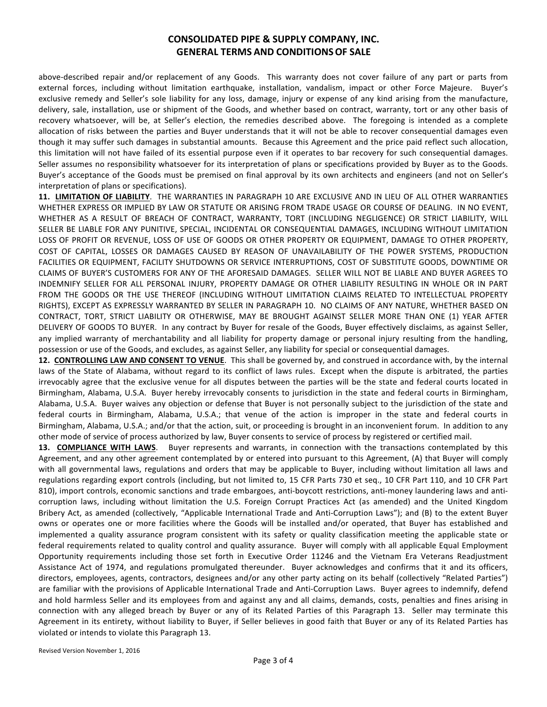above-described repair and/or replacement of any Goods. This warranty does not cover failure of any part or parts from external forces, including without limitation earthquake, installation, vandalism, impact or other Force Majeure. Buyer's exclusive remedy and Seller's sole liability for any loss, damage, injury or expense of any kind arising from the manufacture, delivery, sale, installation, use or shipment of the Goods, and whether based on contract, warranty, tort or any other basis of recovery whatsoever, will be, at Seller's election, the remedies described above. The foregoing is intended as a complete allocation of risks between the parties and Buyer understands that it will not be able to recover consequential damages even though it may suffer such damages in substantial amounts. Because this Agreement and the price paid reflect such allocation, this limitation will not have failed of its essential purpose even if it operates to bar recovery for such consequential damages. Seller assumes no responsibility whatsoever for its interpretation of plans or specifications provided by Buyer as to the Goods. Buyer's acceptance of the Goods must be premised on final approval by its own architects and engineers (and not on Seller's interpretation of plans or specifications).

**11. LIMITATION OF LIABILITY**. THE WARRANTIES IN PARAGRAPH 10 ARE EXCLUSIVE AND IN LIEU OF ALL OTHER WARRANTIES WHETHER EXPRESS OR IMPLIED BY LAW OR STATUTE OR ARISING FROM TRADE USAGE OR COURSE OF DEALING. IN NO EVENT, WHETHER AS A RESULT OF BREACH OF CONTRACT, WARRANTY, TORT (INCLUDING NEGLIGENCE) OR STRICT LIABILITY, WILL SELLER BE LIABLE FOR ANY PUNITIVE, SPECIAL, INCIDENTAL OR CONSEQUENTIAL DAMAGES, INCLUDING WITHOUT LIMITATION LOSS OF PROFIT OR REVENUE, LOSS OF USE OF GOODS OR OTHER PROPERTY OR EQUIPMENT, DAMAGE TO OTHER PROPERTY, COST OF CAPITAL, LOSSES OR DAMAGES CAUSED BY REASON OF UNAVAILABILITY OF THE POWER SYSTEMS, PRODUCTION FACILITIES OR EQUIPMENT, FACILITY SHUTDOWNS OR SERVICE INTERRUPTIONS, COST OF SUBSTITUTE GOODS, DOWNTIME OR CLAIMS OF BUYER'S CUSTOMERS FOR ANY OF THE AFORESAID DAMAGES. SELLER WILL NOT BE LIABLE AND BUYER AGREES TO INDEMNIFY SELLER FOR ALL PERSONAL INJURY, PROPERTY DAMAGE OR OTHER LIABILITY RESULTING IN WHOLE OR IN PART FROM THE GOODS OR THE USE THEREOF (INCLUDING WITHOUT LIMITATION CLAIMS RELATED TO INTELLECTUAL PROPERTY RIGHTS), EXCEPT AS EXPRESSLY WARRANTED BY SELLER IN PARAGRAPH 10. NO CLAIMS OF ANY NATURE, WHETHER BASED ON CONTRACT, TORT, STRICT LIABILITY OR OTHERWISE, MAY BE BROUGHT AGAINST SELLER MORE THAN ONE (1) YEAR AFTER DELIVERY OF GOODS TO BUYER. In any contract by Buyer for resale of the Goods, Buyer effectively disclaims, as against Seller, any implied warranty of merchantability and all liability for property damage or personal injury resulting from the handling, possession or use of the Goods, and excludes, as against Seller, any liability for special or consequential damages.

**12. CONTROLLING LAW AND CONSENT TO VENUE**. This shall be governed by, and construed in accordance with, by the internal laws of the State of Alabama, without regard to its conflict of laws rules. Except when the dispute is arbitrated, the parties irrevocably agree that the exclusive venue for all disputes between the parties will be the state and federal courts located in Birmingham, Alabama, U.S.A. Buyer hereby irrevocably consents to jurisdiction in the state and federal courts in Birmingham, Alabama, U.S.A. Buyer waives any objection or defense that Buyer is not personally subject to the jurisdiction of the state and federal courts in Birmingham, Alabama, U.S.A.; that venue of the action is improper in the state and federal courts in Birmingham, Alabama, U.S.A.; and/or that the action, suit, or proceeding is brought in an inconvenient forum. In addition to any other mode of service of process authorized by law, Buyer consents to service of process by registered or certified mail.

**13. COMPLIANCE WITH LAWS**. Buyer represents and warrants, in connection with the transactions contemplated by this Agreement, and any other agreement contemplated by or entered into pursuant to this Agreement, (A) that Buyer will comply with all governmental laws, regulations and orders that may be applicable to Buyer, including without limitation all laws and regulations regarding export controls (including, but not limited to, 15 CFR Parts 730 et seq., 10 CFR Part 110, and 10 CFR Part 810), import controls, economic sanctions and trade embargoes, anti-boycott restrictions, anti-money laundering laws and anticorruption laws, including without limitation the U.S. Foreign Corrupt Practices Act (as amended) and the United Kingdom Bribery Act, as amended (collectively, "Applicable International Trade and Anti-Corruption Laws"); and (B) to the extent Buyer owns or operates one or more facilities where the Goods will be installed and/or operated, that Buyer has established and implemented a quality assurance program consistent with its safety or quality classification meeting the applicable state or federal requirements related to quality control and quality assurance. Buyer will comply with all applicable Equal Employment Opportunity requirements including those set forth in Executive Order 11246 and the Vietnam Era Veterans Readjustment Assistance Act of 1974, and regulations promulgated thereunder. Buyer acknowledges and confirms that it and its officers, directors, employees, agents, contractors, designees and/or any other party acting on its behalf (collectively "Related Parties") are familiar with the provisions of Applicable International Trade and Anti-Corruption Laws. Buyer agrees to indemnify, defend and hold harmless Seller and its employees from and against any and all claims, demands, costs, penalties and fines arising in connection with any alleged breach by Buyer or any of its Related Parties of this Paragraph 13. Seller may terminate this Agreement in its entirety, without liability to Buyer, if Seller believes in good faith that Buyer or any of its Related Parties has violated or intends to violate this Paragraph 13.